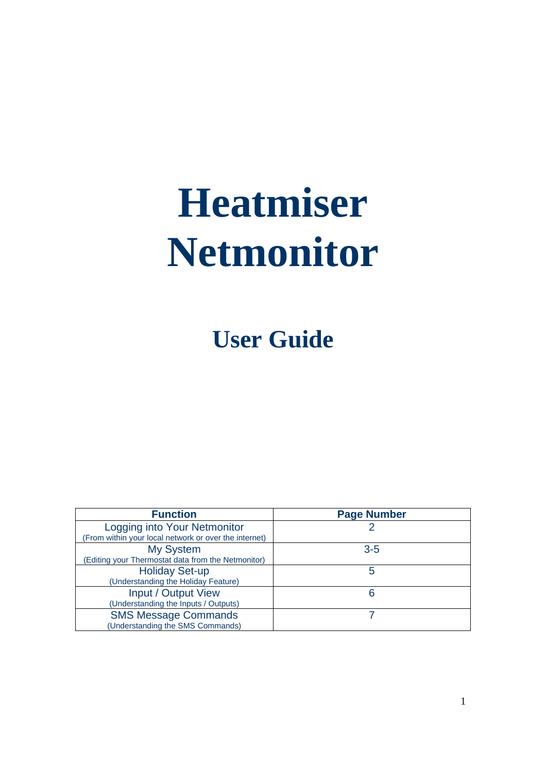# **Heatmiser Netmonitor**

**User Guide** 

| <b>Function</b>                                       | <b>Page Number</b> |
|-------------------------------------------------------|--------------------|
| Logging into Your Netmonitor                          |                    |
| (From within your local network or over the internet) |                    |
| <b>My System</b>                                      | $3 - 5$            |
| (Editing your Thermostat data from the Netmonitor)    |                    |
| <b>Holiday Set-up</b>                                 | 5                  |
| (Understanding the Holiday Feature)                   |                    |
| Input / Output View                                   | 6                  |
| (Understanding the Inputs / Outputs)                  |                    |
| <b>SMS Message Commands</b>                           |                    |
| (Understanding the SMS Commands)                      |                    |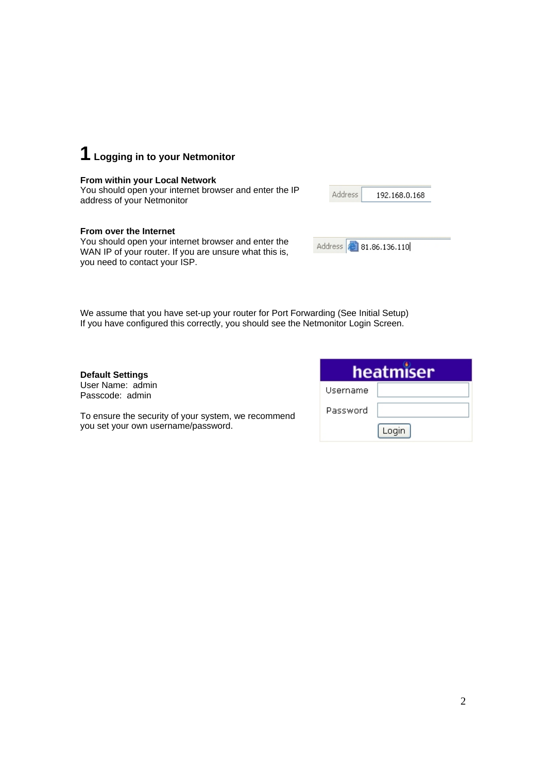

#### **From within your Local Network**

You should open your internet browser and enter the IP address of your Netmonitor

#### **From over the Internet**

You should open your internet browser and enter the WAN IP of your router. If you are unsure what this is, you need to contact your ISP.

| 192.168.0.168 |
|---------------|
|               |

Address 8 81.86.136.110

We assume that you have set-up your router for Port Forwarding (See Initial Setup) If you have configured this correctly, you should see the Netmonitor Login Screen.

**Default Settings**  User Name: admin Passcode: admin

| To ensure the security of your system, we recommend |  |
|-----------------------------------------------------|--|
| you set your own username/password.                 |  |

| heatmiser |       |  |  |  |
|-----------|-------|--|--|--|
| Username  |       |  |  |  |
| Password  |       |  |  |  |
|           | Login |  |  |  |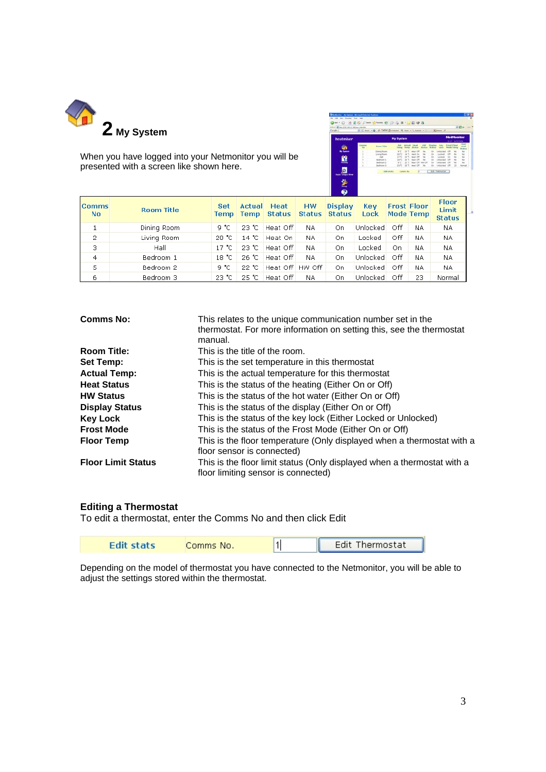

When you have logged into your Netmonitor you will be presented with a screen like shown here.

| heatmiser               |                             |                     | <b>My System</b>            |             |                    |                 |                             |                              |                     | <b>NetMonitor</b><br><b>SSOF GARDING</b> |                            |
|-------------------------|-----------------------------|---------------------|-----------------------------|-------------|--------------------|-----------------|-----------------------------|------------------------------|---------------------|------------------------------------------|----------------------------|
|                         | <b>JWW46</b><br><b>kong</b> | <b>Huston Title</b> | <b>Batt</b><br><b>Texas</b> |             |                    |                 | Titsaltan<br><b>BEARING</b> | <b>Bary</b><br><b>Limits</b> | <b>Kennet Kinny</b> | <b>Mode Tenas</b>                        | <b>The</b><br><b>STAFF</b> |
|                         |                             | <b>Delived Room</b> | k                           | 22%         | <b>Health City</b> | to a            |                             | <b>Lesburgiand</b>           | CHR                 | <b>SH</b>                                | tok                        |
|                         |                             | Living Rower        | 25 <sup>o</sup>             | 14 TO       | meal Dir           | <b>ISA</b>      |                             | Locked and                   |                     |                                          | tu.                        |
| a                       |                             | <b>Haft</b>         | 19.70                       | 29%         | Heat Off           | 14.4            | CH.                         | Locket                       | $\sim$              |                                          | tué                        |
|                         |                             | <b>Backhoon 1</b>   | 18 %                        | 28.50       | Heat DR            | <b>Final</b>    |                             | <b>Industries</b>            | <b>OR</b>           | <b>Sill</b>                              | w                          |
| <b>Talento</b>          |                             | <b>Jackson 2</b>    | 9 YO                        | 22.50       | Heat Off           | <b>WAY CIRE</b> |                             | Limited Ltd.                 | on                  |                                          | <b>NA</b>                  |
|                         |                             | <b>Backwoon 5</b>   | 23 %                        |             | 26 TO Award Off    | To A            |                             | Unlisted                     | 10M                 | 22                                       | home                       |
| Ingret   Duriguel Wares |                             | Edit stats          |                             | Constra No. |                    |                 |                             | Edit Thermostal              |                     |                                          |                            |
|                         |                             |                     |                             |             |                    |                 |                             |                              |                     |                                          |                            |
| ۷                       |                             |                     |                             |             |                    |                 |                             |                              |                     |                                          |                            |

| <b>Comms</b><br>No. | <b>Room Title</b> | <b>Set</b><br>Temp | Actual<br><b>Temp</b> | <b>Heat</b><br><b>Status</b> | <b>HW</b><br><b>Status</b> | <b>Display</b><br><b>Status</b> | <b>Kev</b><br>Lock |     | <b>Frost Floor</b><br><b>Mode Temp</b> | <b>Floor</b><br>Limit<br><b>Status</b> |
|---------------------|-------------------|--------------------|-----------------------|------------------------------|----------------------------|---------------------------------|--------------------|-----|----------------------------------------|----------------------------------------|
|                     | Dining Room       | 9 °C.              | 23 °C.                | Heat Off                     | NA.                        | On                              | Unlocked           | Off | NA.                                    | NA.                                    |
| 2                   | Living Room       | $20o$ C            | 14 °C                 | Heat On                      | NA.                        | On                              | Locked             | Off | NA.                                    | NA.                                    |
| 3                   | Hall              | 17 °C.             | 23 °C                 | Heat Off                     | NA.                        | On.                             | Locked             | Οn  | NA.                                    | NA.                                    |
| $\overline{4}$      | Bedroom 1         | 18 °C.             | 26 °C                 | Heat Off                     | NA.                        | On                              | Unlocked           | Off | NA.                                    | NA.                                    |
| 5                   | Bedroom 2         | 9 °C               | 22 °C                 | Heat Off                     | HW Off                     | On.                             | Unlocked           | Off | NA.                                    | NA.                                    |
| 6                   | Bedroom 3         | 23 °C              | 25 °C.                | Heat Off                     | NA.                        | On                              | Unlocked           | Off | 23                                     | Normal                                 |

| <b>Comms No:</b>          | This relates to the unique communication number set in the<br>thermostat. For more information on setting this, see the thermostat<br>manual. |
|---------------------------|-----------------------------------------------------------------------------------------------------------------------------------------------|
| <b>Room Title:</b>        | This is the title of the room.                                                                                                                |
| <b>Set Temp:</b>          | This is the set temperature in this thermostat                                                                                                |
| <b>Actual Temp:</b>       | This is the actual temperature for this thermostat                                                                                            |
| <b>Heat Status</b>        | This is the status of the heating (Either On or Off)                                                                                          |
| <b>HW Status</b>          | This is the status of the hot water (Either On or Off)                                                                                        |
| <b>Display Status</b>     | This is the status of the display (Either On or Off)                                                                                          |
| <b>Key Lock</b>           | This is the status of the key lock (Either Locked or Unlocked)                                                                                |
| <b>Frost Mode</b>         | This is the status of the Frost Mode (Either On or Off)                                                                                       |
| <b>Floor Temp</b>         | This is the floor temperature (Only displayed when a thermostat with a<br>floor sensor is connected)                                          |
| <b>Floor Limit Status</b> | This is the floor limit status (Only displayed when a thermostat with a<br>floor limiting sensor is connected)                                |

#### **Editing a Thermostat**

To edit a thermostat, enter the Comms No and then click Edit

| Thermostat<br>Fdit.<br><b>Edit stats</b><br>.1'<br>Comms No. |  |
|--------------------------------------------------------------|--|
|--------------------------------------------------------------|--|

Depending on the model of thermostat you have connected to the Netmonitor, you will be able to adjust the settings stored within the thermostat.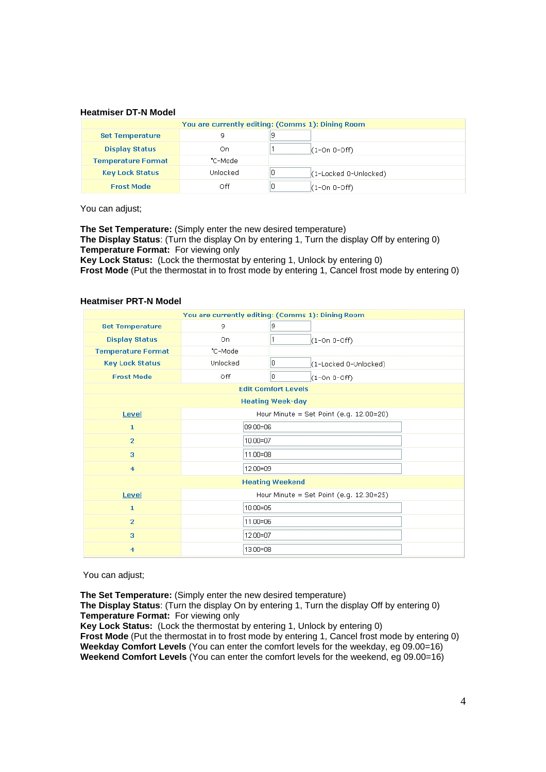#### **Heatmiser DT-N Model**

| You are currently editing: (Comms 1): Dining Room |          |                       |  |  |  |  |  |
|---------------------------------------------------|----------|-----------------------|--|--|--|--|--|
| <b>Set Temperature</b>                            | 9        |                       |  |  |  |  |  |
| <b>Display Status</b>                             | On       | $(1-On 0-Off)$        |  |  |  |  |  |
| <b>Temperature Format</b>                         | "C-Model |                       |  |  |  |  |  |
| <b>Key Lock Status</b>                            | Unlocked | (1-Locked 0-Unlocked) |  |  |  |  |  |
| <b>Frost Mode</b>                                 | Off      | $(1$ -On 0-Off)       |  |  |  |  |  |

You can adjust;

**The Set Temperature:** (Simply enter the new desired temperature) **The Display Status**: (Turn the display On by entering 1, Turn the display Off by entering 0) **Temperature Format:** For viewing only **Key Lock Status:** (Lock the thermostat by entering 1, Unlock by entering 0)

**Frost Mode** (Put the thermostat in to frost mode by entering 1, Cancel frost mode by entering 0)

#### **Heatmiser PRT-N Model**

| You are currently editing: (Comms 1): Dining Room |                            |                                           |  |  |  |  |
|---------------------------------------------------|----------------------------|-------------------------------------------|--|--|--|--|
| <b>Set Temperature</b>                            | 9                          | 9                                         |  |  |  |  |
| <b>Display Status</b>                             | On.                        | $(1-On 0-Off)$                            |  |  |  |  |
| <b>Temperature Format</b>                         | "C-Mode                    |                                           |  |  |  |  |
| <b>Key Lock Status</b>                            | Unlocked                   | 0<br>(1-Locked 0-Unlocked)                |  |  |  |  |
| <b>Frost Mode</b>                                 | 0<br>Off<br>$(1-On 0-Off)$ |                                           |  |  |  |  |
|                                                   |                            | <b>Edit Comfort Levels</b>                |  |  |  |  |
| <b>Heating Week-day</b>                           |                            |                                           |  |  |  |  |
| Level                                             |                            | Hour Minute = Set Point $(e.g. 12.00=20)$ |  |  |  |  |
| $\mathbf{1}$                                      | 09.00=06                   |                                           |  |  |  |  |
| $\overline{2}$                                    | $10.00 = 07$               |                                           |  |  |  |  |
| 3                                                 | 11.00=08                   |                                           |  |  |  |  |
| $\overline{4}$                                    | 12.00=09                   |                                           |  |  |  |  |
|                                                   |                            | <b>Heating Weekend</b>                    |  |  |  |  |
| Level                                             |                            | Hour Minute = Set Point $(e.g. 12.30=25)$ |  |  |  |  |
| $\mathbf 1$                                       | $10.00 = 05$               |                                           |  |  |  |  |
| $\overline{2}$                                    | 11.00=06                   |                                           |  |  |  |  |
| 3                                                 | 12.00=07                   |                                           |  |  |  |  |
| $\overline{4}$                                    | $13.00 = 08$               |                                           |  |  |  |  |

You can adjust;

**The Set Temperature:** (Simply enter the new desired temperature)

**The Display Status**: (Turn the display On by entering 1, Turn the display Off by entering 0) **Temperature Format:** For viewing only

**Key Lock Status:** (Lock the thermostat by entering 1, Unlock by entering 0) **Frost Mode** (Put the thermostat in to frost mode by entering 1, Cancel frost mode by entering 0) **Weekday Comfort Levels** (You can enter the comfort levels for the weekday, eg 09.00=16) **Weekend Comfort Levels** (You can enter the comfort levels for the weekend, eg 09.00=16)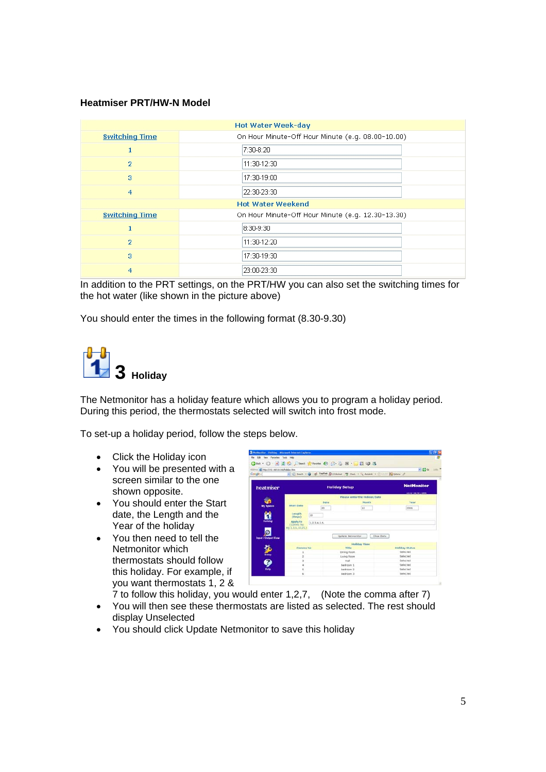#### **Heatmiser PRT/HW-N Model**

| <b>Hot Water Week-day</b> |                                                   |  |  |  |
|---------------------------|---------------------------------------------------|--|--|--|
| <b>Switching Time</b>     | On Hour Minute-Off Hour Minute (e.g. 08.00-10.00) |  |  |  |
| 1                         | 7:30-8:20                                         |  |  |  |
| $\overline{2}$            | 11:30-12:30                                       |  |  |  |
| 3                         | 17:30-19:00                                       |  |  |  |
| $\overline{4}$            | 22:30-23:30                                       |  |  |  |
| <b>Hot Water Weekend</b>  |                                                   |  |  |  |
| <b>Switching Time</b>     | On Hour Minute-Off Hour Minute (e.g. 12.30-13.30) |  |  |  |
| 1                         | 8:30-9:30                                         |  |  |  |
| $\overline{2}$            | 11:30-12:20                                       |  |  |  |
| 3                         | 17:30-19:30                                       |  |  |  |
| 4                         | 23:00-23:30                                       |  |  |  |

In addition to the PRT settings, on the PRT/HW you can also set the switching times for the hot water (like shown in the picture above)

You should enter the times in the following format (8.30-9.30)

## **3 Holiday**

The Netmonitor has a holiday feature which allows you to program a holiday period. During this period, the thermostats selected will switch into frost mode.

To set-up a holiday period, follow the steps below.

- Click the Holiday icon
- You will be presented with a screen similar to the one shown opposite.
- You should enter the Start date, the Length and the Year of the holiday
- You then need to tell the Netmonitor which thermostats should follow this holiday. For example, if you want thermostats 1, 2 &



7 to follow this holiday, you would enter 1,2,7, (Note the comma after 7)

- You will then see these thermostats are listed as selected. The rest should display Unselected
- You should click Update Netmonitor to save this holiday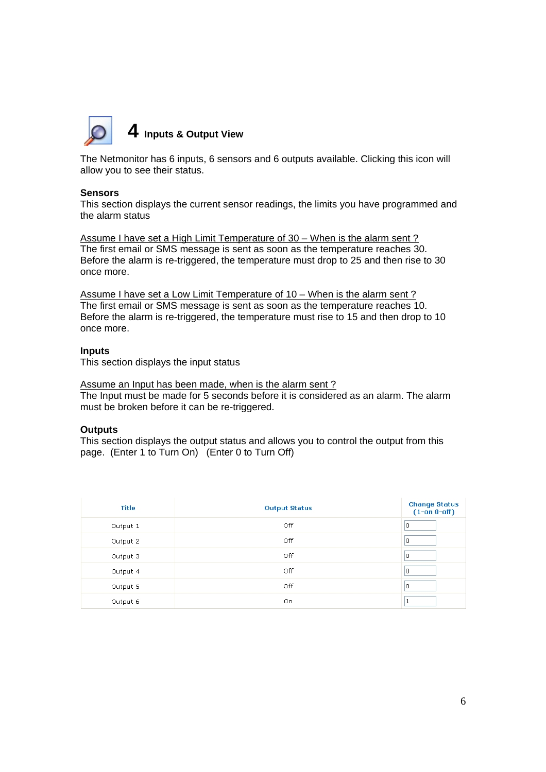

#### **4 Inputs & Output View**

The Netmonitor has 6 inputs, 6 sensors and 6 outputs available. Clicking this icon will allow you to see their status.

#### **Sensors**

This section displays the current sensor readings, the limits you have programmed and the alarm status

Assume I have set a High Limit Temperature of 30 – When is the alarm sent ? The first email or SMS message is sent as soon as the temperature reaches 30. Before the alarm is re-triggered, the temperature must drop to 25 and then rise to 30 once more.

Assume I have set a Low Limit Temperature of 10 – When is the alarm sent ? The first email or SMS message is sent as soon as the temperature reaches 10. Before the alarm is re-triggered, the temperature must rise to 15 and then drop to 10 once more.

#### **Inputs**

This section displays the input status

#### Assume an Input has been made, when is the alarm sent?

The Input must be made for 5 seconds before it is considered as an alarm. The alarm must be broken before it can be re-triggered.

#### **Outputs**

This section displays the output status and allows you to control the output from this page. (Enter 1 to Turn On) (Enter 0 to Turn Off)

| Title    | <b>Output Status</b> | <b>Change Status</b><br>$(1-$ on 0-off) |
|----------|----------------------|-----------------------------------------|
| Output 1 | Off                  | 0                                       |
| Output 2 | Off                  | 0                                       |
| Output 3 | Off                  | 0                                       |
| Output 4 | Off                  | 0                                       |
| Output 5 | Off                  | $\cup$                                  |
| Output 6 | On.                  |                                         |